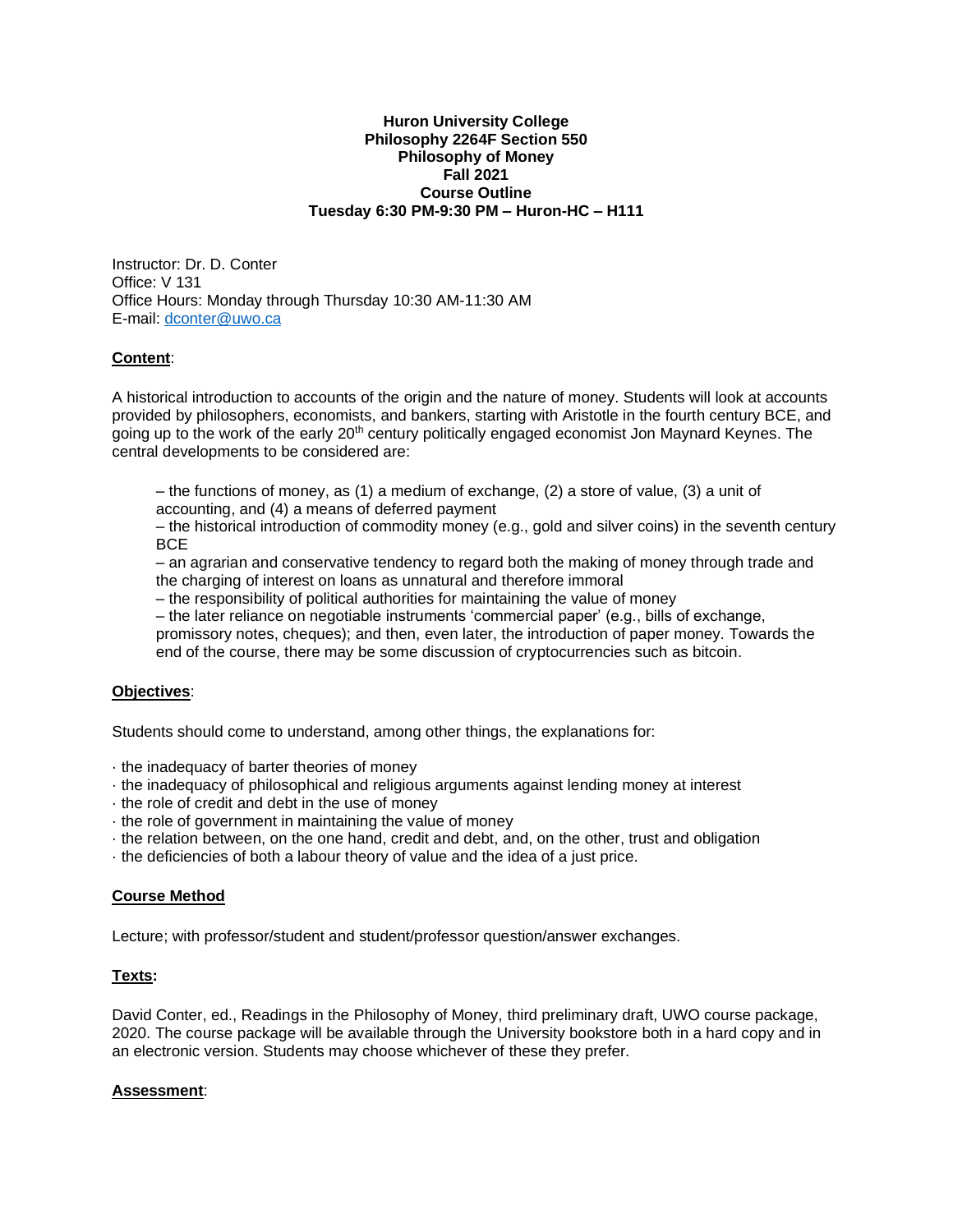#### **Huron University College Philosophy 2264F Section 550 Philosophy of Money Fall 2021 Course Outline Tuesday 6:30 PM-9:30 PM – Huron-HC – H111**

Instructor: Dr. D. Conter Office: V 131 Office Hours: Monday through Thursday 10:30 AM-11:30 AM E-mail: [dconter@uwo.ca](mailto:dconter@uwo.ca)

### **Content**:

A historical introduction to accounts of the origin and the nature of money. Students will look at accounts provided by philosophers, economists, and bankers, starting with Aristotle in the fourth century BCE, and going up to the work of the early 20<sup>th</sup> century politically engaged economist Jon Maynard Keynes. The central developments to be considered are:

– the functions of money, as (1) a medium of exchange, (2) a store of value, (3) a unit of accounting, and (4) a means of deferred payment

– the historical introduction of commodity money (e.g., gold and silver coins) in the seventh century BCE

– an agrarian and conservative tendency to regard both the making of money through trade and the charging of interest on loans as unnatural and therefore immoral

– the responsibility of political authorities for maintaining the value of money

– the later reliance on negotiable instruments 'commercial paper' (e.g., bills of exchange,

promissory notes, cheques); and then, even later, the introduction of paper money. Towards the end of the course, there may be some discussion of cryptocurrencies such as bitcoin.

### **Objectives**:

Students should come to understand, among other things, the explanations for:

- · the inadequacy of barter theories of money
- · the inadequacy of philosophical and religious arguments against lending money at interest
- · the role of credit and debt in the use of money
- · the role of government in maintaining the value of money
- · the relation between, on the one hand, credit and debt, and, on the other, trust and obligation
- · the deficiencies of both a labour theory of value and the idea of a just price.

### **Course Method**

Lecture; with professor/student and student/professor question/answer exchanges.

### **Texts:**

David Conter, ed., Readings in the Philosophy of Money, third preliminary draft, UWO course package, 2020. The course package will be available through the University bookstore both in a hard copy and in an electronic version. Students may choose whichever of these they prefer.

### **Assessment**: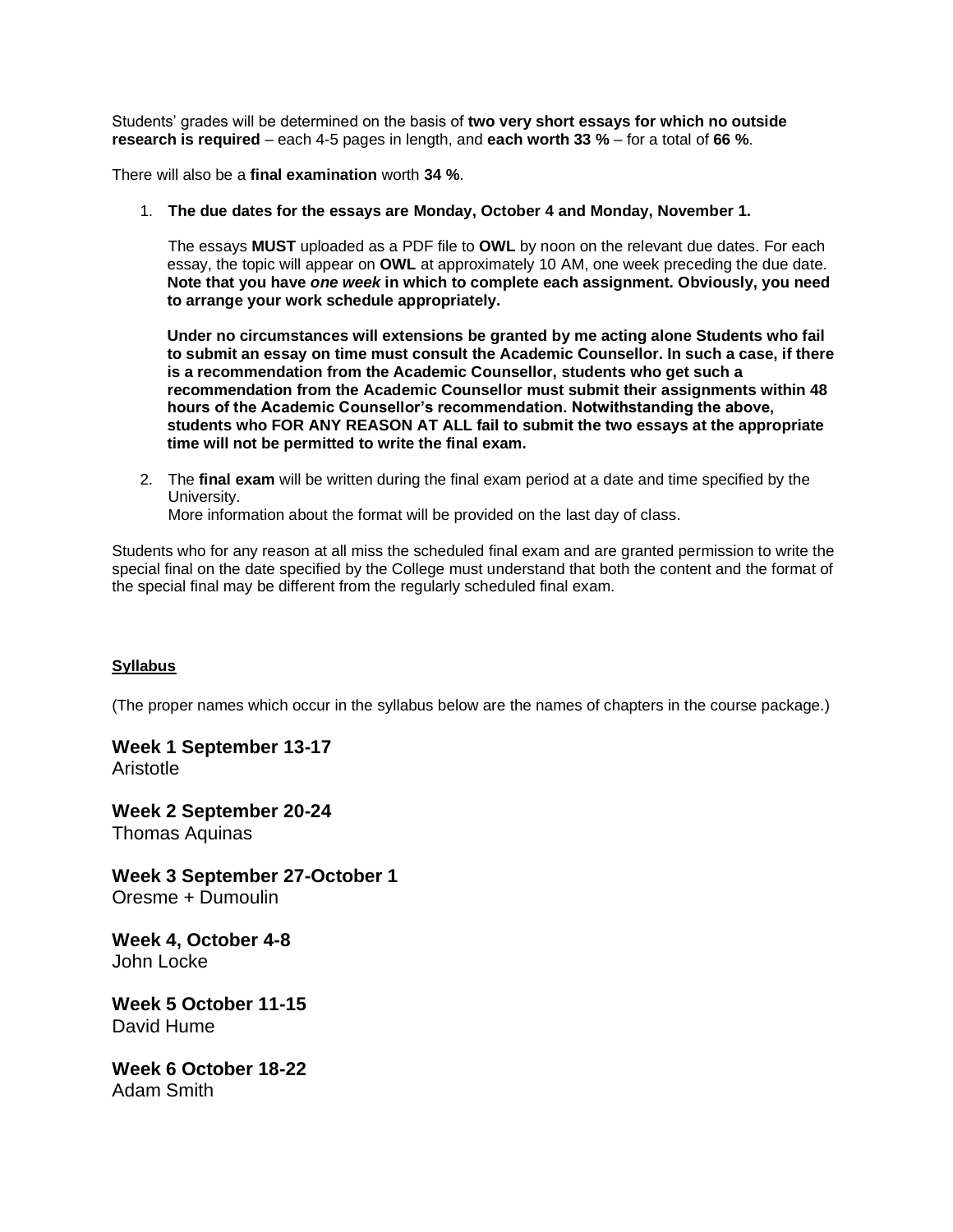Students' grades will be determined on the basis of **two very short essays for which no outside research is required** – each 4-5 pages in length, and **each worth 33 %** – for a total of **66 %**.

There will also be a **final examination** worth **34 %**.

1. **The due dates for the essays are Monday, October 4 and Monday, November 1.**

The essays **MUST** uploaded as a PDF file to **OWL** by noon on the relevant due dates. For each essay, the topic will appear on **OWL** at approximately 10 AM, one week preceding the due date. **Note that you have** *one week* **in which to complete each assignment. Obviously, you need to arrange your work schedule appropriately.**

**Under no circumstances will extensions be granted by me acting alone Students who fail to submit an essay on time must consult the Academic Counsellor. In such a case, if there is a recommendation from the Academic Counsellor, students who get such a recommendation from the Academic Counsellor must submit their assignments within 48 hours of the Academic Counsellor's recommendation. Notwithstanding the above, students who FOR ANY REASON AT ALL fail to submit the two essays at the appropriate time will not be permitted to write the final exam.**

2. The **final exam** will be written during the final exam period at a date and time specified by the University.

More information about the format will be provided on the last day of class.

Students who for any reason at all miss the scheduled final exam and are granted permission to write the special final on the date specified by the College must understand that both the content and the format of the special final may be different from the regularly scheduled final exam.

### **Syllabus**

(The proper names which occur in the syllabus below are the names of chapters in the course package.)

**Week 1 September 13-17**  Aristotle

**Week 2 September 20-24** Thomas Aquinas

**Week 3 September 27-October 1** Oresme + Dumoulin

**Week 4, October 4-8** John Locke

**Week 5 October 11-15** David Hume

**Week 6 October 18-22** Adam Smith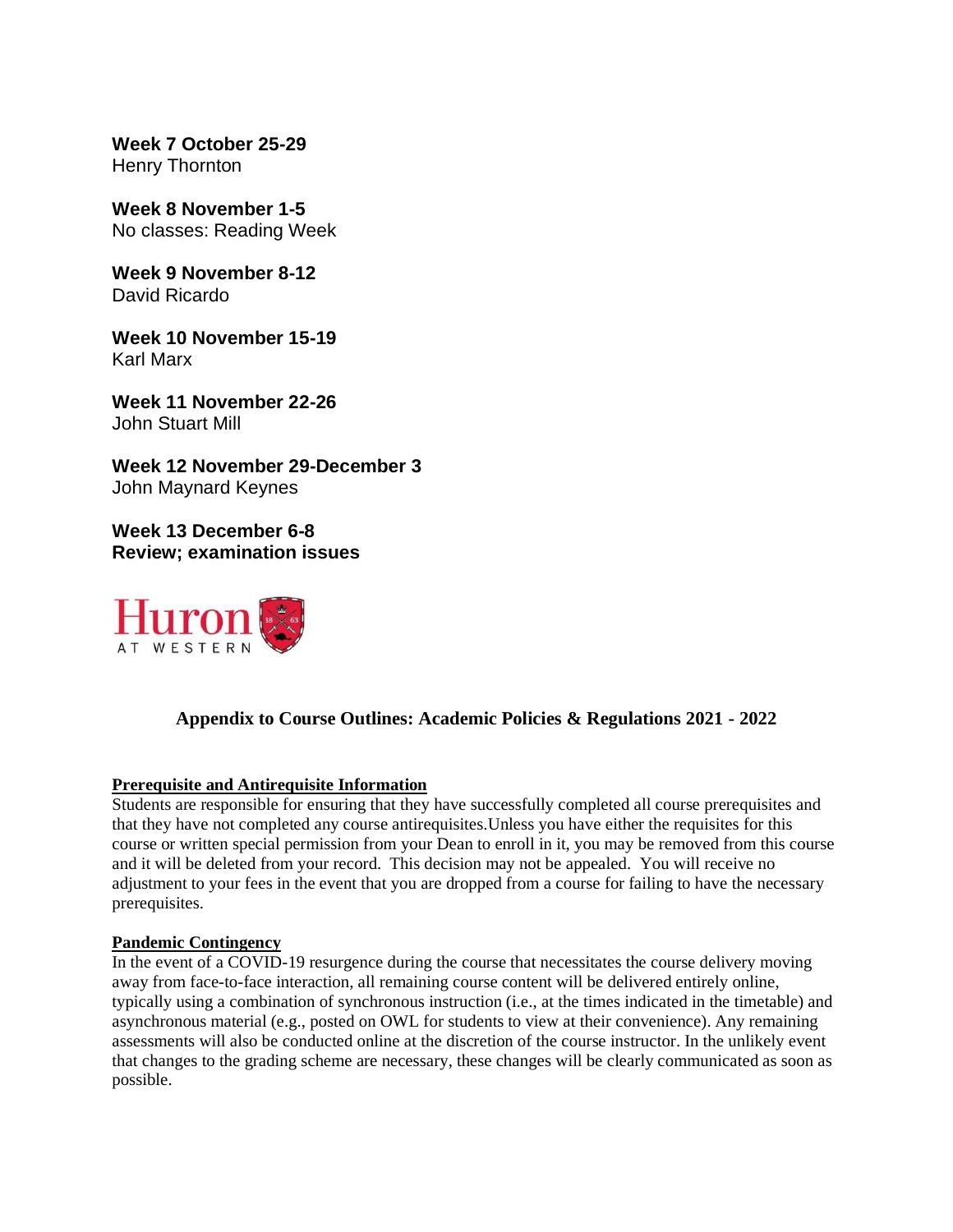**Week 7 October 25-29** Henry Thornton

**Week 8 November 1-5** No classes: Reading Week

**Week 9 November 8-12** David Ricardo

**Week 10 November 15-19** Karl Marx

**Week 11 November 22-26** John Stuart Mill

**Week 12 November 29-December 3** John Maynard Keynes

**Week 13 December 6-8 Review; examination issues**



# **Appendix to Course Outlines: Academic Policies & Regulations 2021 - 2022**

# **Prerequisite and Antirequisite Information**

Students are responsible for ensuring that they have successfully completed all course prerequisites and that they have not completed any course antirequisites.Unless you have either the requisites for this course or written special permission from your Dean to enroll in it, you may be removed from this course and it will be deleted from your record. This decision may not be appealed. You will receive no adjustment to your fees in the event that you are dropped from a course for failing to have the necessary prerequisites.

# **Pandemic Contingency**

In the event of a COVID-19 resurgence during the course that necessitates the course delivery moving away from face-to-face interaction, all remaining course content will be delivered entirely online, typically using a combination of synchronous instruction (i.e., at the times indicated in the timetable) and asynchronous material (e.g., posted on OWL for students to view at their convenience). Any remaining assessments will also be conducted online at the discretion of the course instructor. In the unlikely event that changes to the grading scheme are necessary, these changes will be clearly communicated as soon as possible.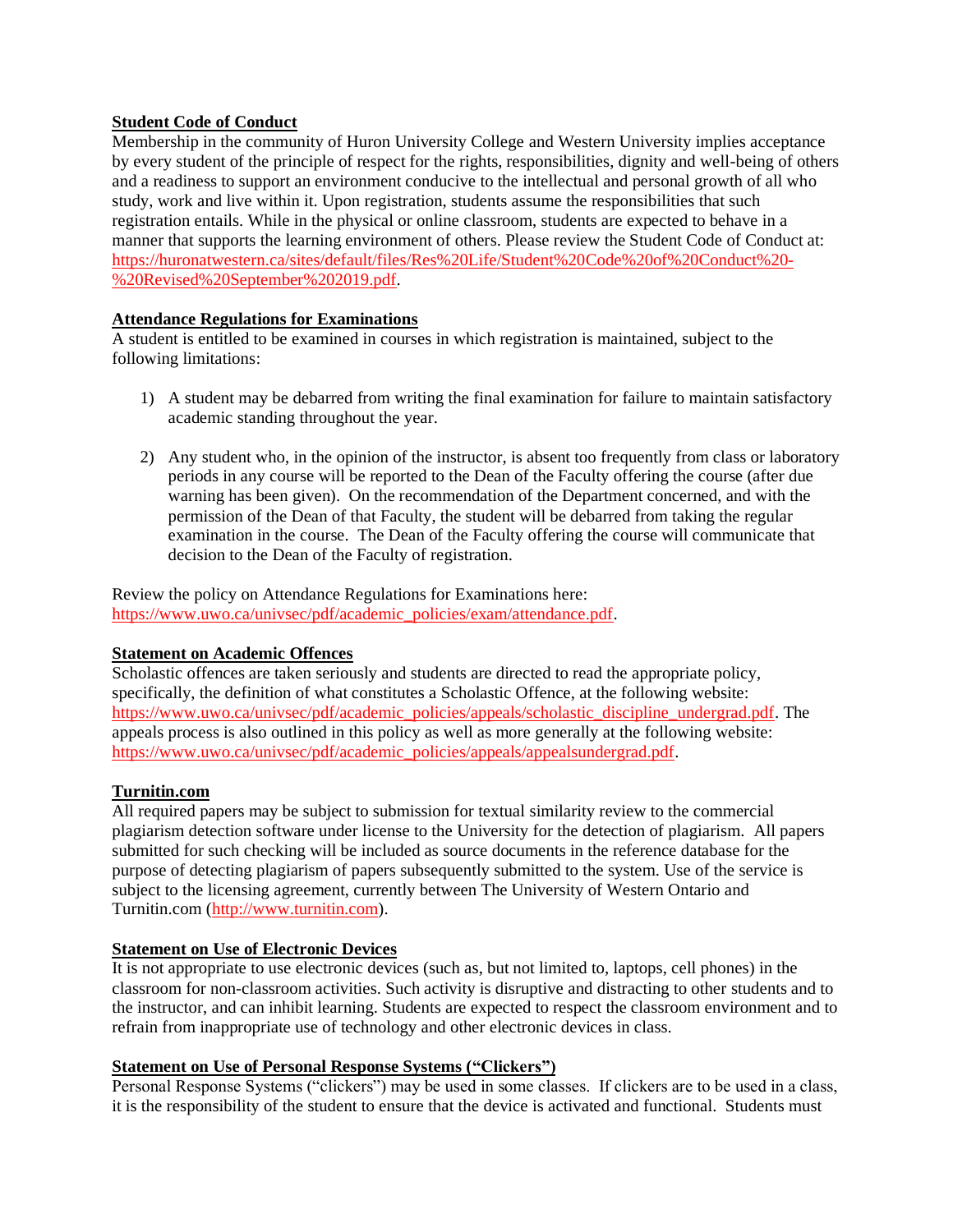# **Student Code of Conduct**

Membership in the community of Huron University College and Western University implies acceptance by every student of the principle of respect for the rights, responsibilities, dignity and well-being of others and a readiness to support an environment conducive to the intellectual and personal growth of all who study, work and live within it. Upon registration, students assume the responsibilities that such registration entails. While in the physical or online classroom, students are expected to behave in a manner that supports the learning environment of others. Please review the Student Code of Conduct at: [https://huronatwestern.ca/sites/default/files/Res%20Life/Student%20Code%20of%20Conduct%20-](https://huronatwestern.ca/sites/default/files/Res%20Life/Student%20Code%20of%20Conduct%20-%20Revised%20September%202019.pdf) [%20Revised%20September%202019.pdf.](https://huronatwestern.ca/sites/default/files/Res%20Life/Student%20Code%20of%20Conduct%20-%20Revised%20September%202019.pdf)

# **Attendance Regulations for Examinations**

A student is entitled to be examined in courses in which registration is maintained, subject to the following limitations:

- 1) A student may be debarred from writing the final examination for failure to maintain satisfactory academic standing throughout the year.
- 2) Any student who, in the opinion of the instructor, is absent too frequently from class or laboratory periods in any course will be reported to the Dean of the Faculty offering the course (after due warning has been given). On the recommendation of the Department concerned, and with the permission of the Dean of that Faculty, the student will be debarred from taking the regular examination in the course. The Dean of the Faculty offering the course will communicate that decision to the Dean of the Faculty of registration.

Review the policy on Attendance Regulations for Examinations here: [https://www.uwo.ca/univsec/pdf/academic\\_policies/exam/attendance.pdf.](https://www.uwo.ca/univsec/pdf/academic_policies/exam/attendance.pdf)

# **Statement on Academic Offences**

Scholastic offences are taken seriously and students are directed to read the appropriate policy, specifically, the definition of what constitutes a Scholastic Offence, at the following website: [https://www.uwo.ca/univsec/pdf/academic\\_policies/appeals/scholastic\\_discipline\\_undergrad.pdf.](https://www.uwo.ca/univsec/pdf/academic_policies/appeals/scholastic_discipline_undergrad.pdf) The appeals process is also outlined in this policy as well as more generally at the following website: [https://www.uwo.ca/univsec/pdf/academic\\_policies/appeals/appealsundergrad.pdf.](https://www.uwo.ca/univsec/pdf/academic_policies/appeals/appealsundergrad.pdf)

# **Turnitin.com**

All required papers may be subject to submission for textual similarity review to the commercial plagiarism detection software under license to the University for the detection of plagiarism. All papers submitted for such checking will be included as source documents in the reference database for the purpose of detecting plagiarism of papers subsequently submitted to the system. Use of the service is subject to the licensing agreement, currently between The University of Western Ontario and Turnitin.com [\(http://www.turnitin.com\)](http://www.turnitin.com/).

# **Statement on Use of Electronic Devices**

It is not appropriate to use electronic devices (such as, but not limited to, laptops, cell phones) in the classroom for non-classroom activities. Such activity is disruptive and distracting to other students and to the instructor, and can inhibit learning. Students are expected to respect the classroom environment and to refrain from inappropriate use of technology and other electronic devices in class.

# **Statement on Use of Personal Response Systems ("Clickers")**

Personal Response Systems ("clickers") may be used in some classes. If clickers are to be used in a class, it is the responsibility of the student to ensure that the device is activated and functional. Students must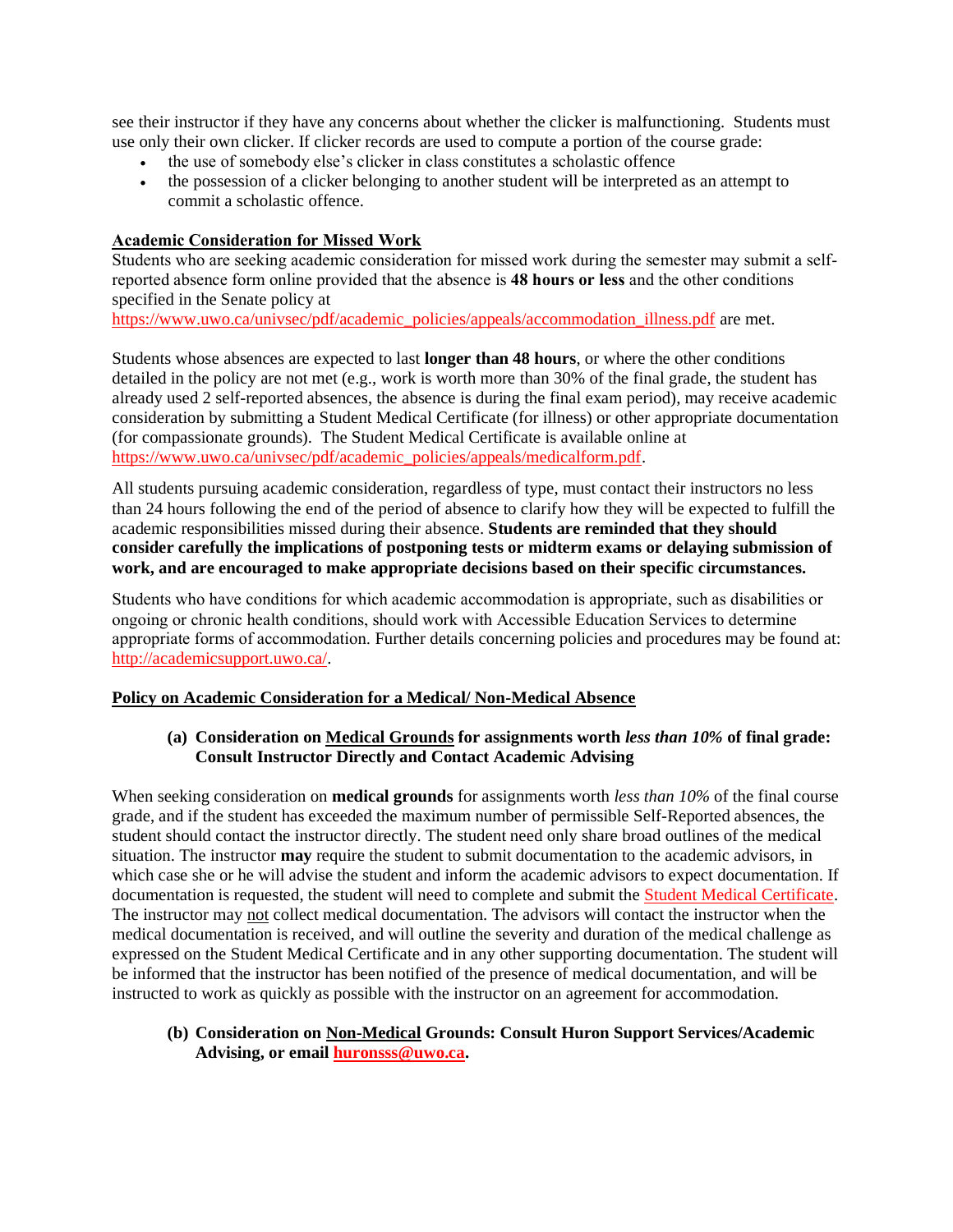see their instructor if they have any concerns about whether the clicker is malfunctioning. Students must use only their own clicker. If clicker records are used to compute a portion of the course grade:

- the use of somebody else's clicker in class constitutes a scholastic offence
- the possession of a clicker belonging to another student will be interpreted as an attempt to commit a scholastic offence.

### **Academic Consideration for Missed Work**

Students who are seeking academic consideration for missed work during the semester may submit a selfreported absence form online provided that the absence is **48 hours or less** and the other conditions specified in the Senate policy at

[https://www.uwo.ca/univsec/pdf/academic\\_policies/appeals/accommodation\\_illness.pdf](https://www.uwo.ca/univsec/pdf/academic_policies/appeals/accommodation_illness.pdf) are met.

Students whose absences are expected to last **longer than 48 hours**, or where the other conditions detailed in the policy are not met (e.g., work is worth more than 30% of the final grade, the student has already used 2 self-reported absences, the absence is during the final exam period), may receive academic consideration by submitting a Student Medical Certificate (for illness) or other appropriate documentation (for compassionate grounds). The Student Medical Certificate is available online at [https://www.uwo.ca/univsec/pdf/academic\\_policies/appeals/medicalform.pdf.](https://www.uwo.ca/univsec/pdf/academic_policies/appeals/medicalform.pdf)

All students pursuing academic consideration, regardless of type, must contact their instructors no less than 24 hours following the end of the period of absence to clarify how they will be expected to fulfill the academic responsibilities missed during their absence. **Students are reminded that they should consider carefully the implications of postponing tests or midterm exams or delaying submission of work, and are encouraged to make appropriate decisions based on their specific circumstances.**

Students who have conditions for which academic accommodation is appropriate, such as disabilities or ongoing or chronic health conditions, should work with Accessible Education Services to determine appropriate forms of accommodation. Further details concerning policies and procedures may be found at: [http://academicsupport.uwo.ca/.](http://academicsupport.uwo.ca/)

# **Policy on Academic Consideration for a Medical/ Non-Medical Absence**

# **(a) Consideration on Medical Grounds for assignments worth** *less than 10%* **of final grade: Consult Instructor Directly and Contact Academic Advising**

When seeking consideration on **medical grounds** for assignments worth *less than 10%* of the final course grade, and if the student has exceeded the maximum number of permissible Self-Reported absences, the student should contact the instructor directly. The student need only share broad outlines of the medical situation. The instructor **may** require the student to submit documentation to the academic advisors, in which case she or he will advise the student and inform the academic advisors to expect documentation. If documentation is requested, the student will need to complete and submit the [Student Medical Certificate.](https://www.uwo.ca/univsec/pdf/academic_policies/appeals/medicalform_15JUN.pdf) The instructor may not collect medical documentation. The advisors will contact the instructor when the medical documentation is received, and will outline the severity and duration of the medical challenge as expressed on the Student Medical Certificate and in any other supporting documentation. The student will be informed that the instructor has been notified of the presence of medical documentation, and will be instructed to work as quickly as possible with the instructor on an agreement for accommodation.

**(b) Consideration on Non-Medical Grounds: Consult Huron Support Services/Academic Advising, or email [huronsss@uwo.ca.](mailto:huronsss@uwo.ca)**